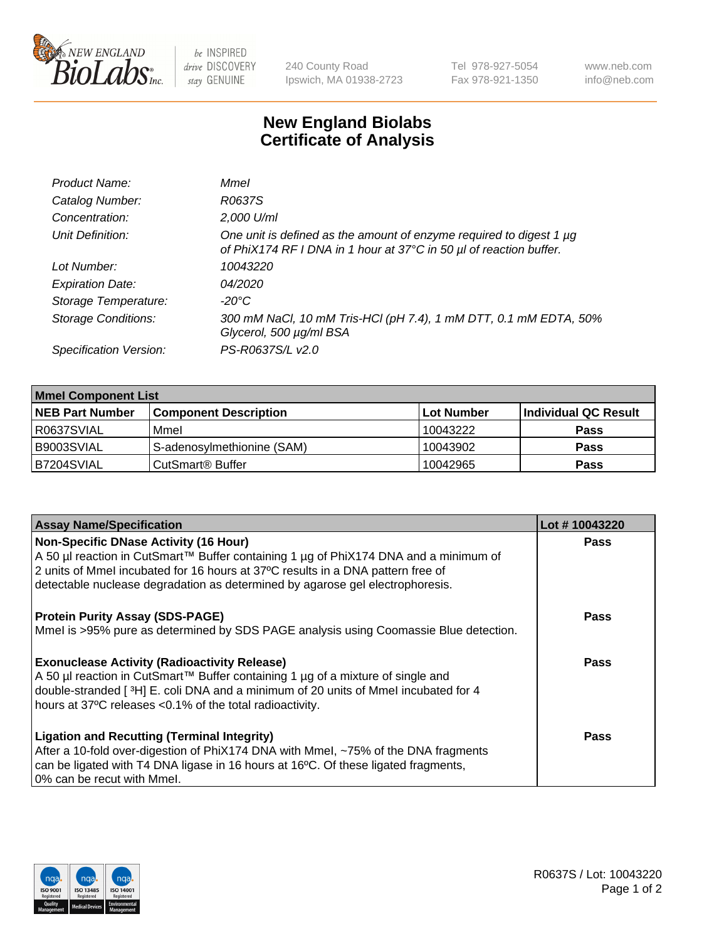

be INSPIRED drive DISCOVERY stay GENUINE

240 County Road Ipswich, MA 01938-2723 Tel 978-927-5054 Fax 978-921-1350 www.neb.com info@neb.com

## **New England Biolabs Certificate of Analysis**

| Product Name:              | Mmel                                                                                                                                      |
|----------------------------|-------------------------------------------------------------------------------------------------------------------------------------------|
| Catalog Number:            | R0637S                                                                                                                                    |
| Concentration:             | 2,000 U/ml                                                                                                                                |
| Unit Definition:           | One unit is defined as the amount of enzyme required to digest 1 µg<br>of PhiX174 RF I DNA in 1 hour at 37°C in 50 µl of reaction buffer. |
| Lot Number:                | 10043220                                                                                                                                  |
| <b>Expiration Date:</b>    | <i>04/2020</i>                                                                                                                            |
| Storage Temperature:       | $-20^{\circ}$ C                                                                                                                           |
| <b>Storage Conditions:</b> | 300 mM NaCl, 10 mM Tris-HCl (pH 7.4), 1 mM DTT, 0.1 mM EDTA, 50%<br>Glycerol, 500 µg/ml BSA                                               |
| Specification Version:     | PS-R0637S/L v2.0                                                                                                                          |

| <b>Mmel Component List</b> |                              |            |                      |  |
|----------------------------|------------------------------|------------|----------------------|--|
| <b>NEB Part Number</b>     | <b>Component Description</b> | Lot Number | Individual QC Result |  |
| R0637SVIAL                 | Mmel                         | 10043222   | <b>Pass</b>          |  |
| I B9003SVIAL               | S-adenosylmethionine (SAM)   | 10043902   | <b>Pass</b>          |  |
| B7204SVIAL                 | CutSmart <sup>®</sup> Buffer | 10042965   | <b>Pass</b>          |  |

| <b>Assay Name/Specification</b>                                                                                                                                          | Lot #10043220 |
|--------------------------------------------------------------------------------------------------------------------------------------------------------------------------|---------------|
| <b>Non-Specific DNase Activity (16 Hour)</b><br>A 50 µl reaction in CutSmart™ Buffer containing 1 µg of PhiX174 DNA and a minimum of                                     | <b>Pass</b>   |
| 2 units of Mmel incubated for 16 hours at 37°C results in a DNA pattern free of<br>detectable nuclease degradation as determined by agarose gel electrophoresis.         |               |
| <b>Protein Purity Assay (SDS-PAGE)</b>                                                                                                                                   | Pass          |
| Mmel is >95% pure as determined by SDS PAGE analysis using Coomassie Blue detection.                                                                                     |               |
| <b>Exonuclease Activity (Radioactivity Release)</b>                                                                                                                      | Pass          |
| A 50 µl reaction in CutSmart™ Buffer containing 1 µg of a mixture of single and<br>double-stranded [3H] E. coli DNA and a minimum of 20 units of Mmel incubated for 4    |               |
| hours at 37°C releases <0.1% of the total radioactivity.                                                                                                                 |               |
| <b>Ligation and Recutting (Terminal Integrity)</b>                                                                                                                       | Pass          |
| After a 10-fold over-digestion of PhiX174 DNA with Mmel, ~75% of the DNA fragments<br>can be ligated with T4 DNA ligase in 16 hours at 16°C. Of these ligated fragments, |               |
| 0% can be recut with Mmel.                                                                                                                                               |               |